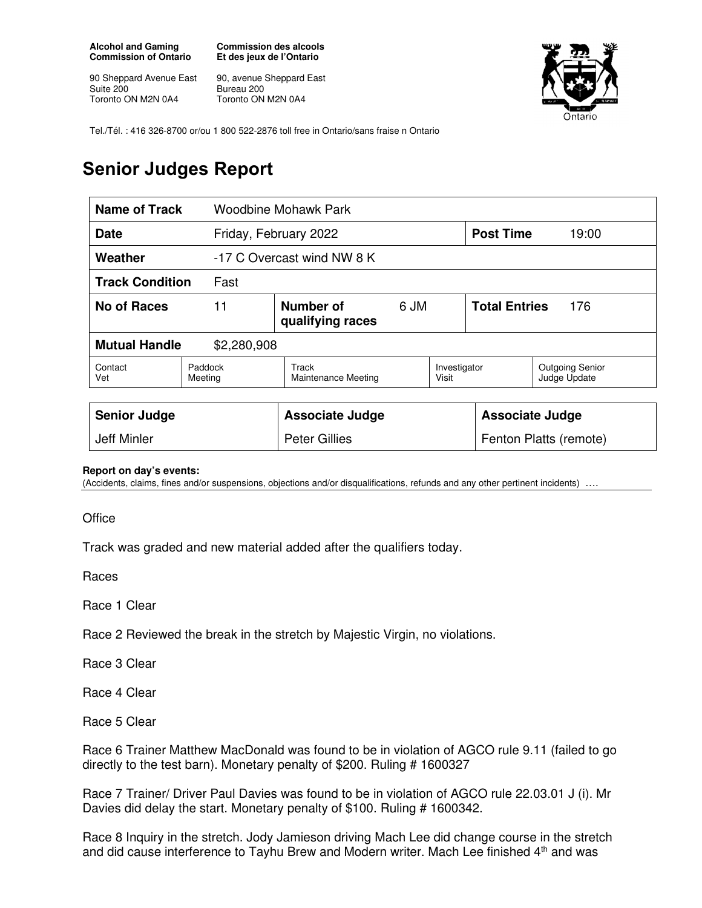**Alcohol and Gaming Commission of Ontario** 

90 Sheppard Avenue East Suite 200 Toronto ON M2N 0A4

**Commission des alcools Et des jeux de l'Ontario** 

90, avenue Sheppard East Bureau 200 Toronto ON M2N 0A4



Tel./Tél. : 416 326-8700 or/ou 1 800 522-2876 toll free in Ontario/sans fraise n Ontario

## **Senior Judges Report**

| <b>Name of Track</b><br>Woodbine Mohawk Park |                                             |                              |  |                             |       |                                        |
|----------------------------------------------|---------------------------------------------|------------------------------|--|-----------------------------|-------|----------------------------------------|
| <b>Date</b>                                  |                                             | Friday, February 2022        |  | <b>Post Time</b>            | 19:00 |                                        |
| Weather                                      |                                             | -17 C Overcast wind NW 8 K   |  |                             |       |                                        |
| <b>Track Condition</b><br>Fast               |                                             |                              |  |                             |       |                                        |
| <b>No of Races</b>                           | Number of<br>11<br>6 JM<br>qualifying races |                              |  | <b>Total Entries</b><br>176 |       |                                        |
| <b>Mutual Handle</b><br>\$2,280,908          |                                             |                              |  |                             |       |                                        |
| Contact<br>Vet                               | Paddock<br>Meeting                          | Track<br>Maintenance Meeting |  | Investigator<br>Visit       |       | <b>Outgoing Senior</b><br>Judge Update |
|                                              |                                             |                              |  |                             |       |                                        |
| <b>Senior Judge</b>                          |                                             | <b>Associate Judge</b>       |  | <b>Associate Judge</b>      |       |                                        |
| <b>Jeff Minler</b>                           |                                             | <b>Peter Gillies</b>         |  | Fenton Platts (remote)      |       |                                        |

## **Report on day's events:**

(Accidents, claims, fines and/or suspensions, objections and/or disqualifications, refunds and any other pertinent incidents) ….

**Office** 

Track was graded and new material added after the qualifiers today.

Races

Race 1 Clear

Race 2 Reviewed the break in the stretch by Majestic Virgin, no violations.

Race 3 Clear

Race 4 Clear

Race 5 Clear

Race 6 Trainer Matthew MacDonald was found to be in violation of AGCO rule 9.11 (failed to go directly to the test barn). Monetary penalty of \$200. Ruling # 1600327

Race 7 Trainer/ Driver Paul Davies was found to be in violation of AGCO rule 22.03.01 J (i). Mr Davies did delay the start. Monetary penalty of \$100. Ruling # 1600342.

Race 8 Inquiry in the stretch. Jody Jamieson driving Mach Lee did change course in the stretch and did cause interference to Tayhu Brew and Modern writer. Mach Lee finished 4<sup>th</sup> and was